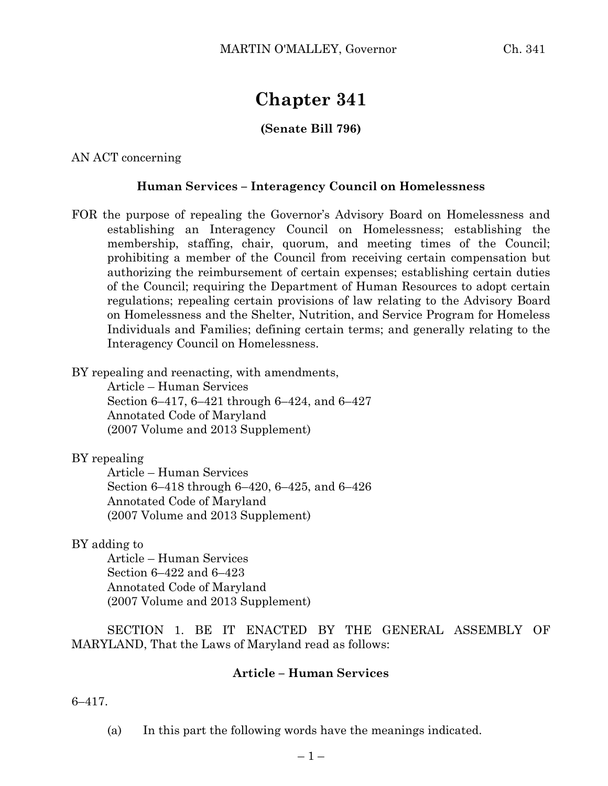# **Chapter 341**

# **(Senate Bill 796)**

AN ACT concerning

#### **Human Services – Interagency Council on Homelessness**

FOR the purpose of repealing the Governor's Advisory Board on Homelessness and establishing an Interagency Council on Homelessness; establishing the membership, staffing, chair, quorum, and meeting times of the Council; prohibiting a member of the Council from receiving certain compensation but authorizing the reimbursement of certain expenses; establishing certain duties of the Council; requiring the Department of Human Resources to adopt certain regulations; repealing certain provisions of law relating to the Advisory Board on Homelessness and the Shelter, Nutrition, and Service Program for Homeless Individuals and Families; defining certain terms; and generally relating to the Interagency Council on Homelessness.

BY repealing and reenacting, with amendments,

Article – Human Services Section 6–417, 6–421 through 6–424, and 6–427 Annotated Code of Maryland (2007 Volume and 2013 Supplement)

BY repealing

Article – Human Services Section 6–418 through 6–420, 6–425, and 6–426 Annotated Code of Maryland (2007 Volume and 2013 Supplement)

BY adding to

Article – Human Services Section 6–422 and 6–423 Annotated Code of Maryland (2007 Volume and 2013 Supplement)

SECTION 1. BE IT ENACTED BY THE GENERAL ASSEMBLY OF MARYLAND, That the Laws of Maryland read as follows:

#### **Article – Human Services**

6–417.

(a) In this part the following words have the meanings indicated.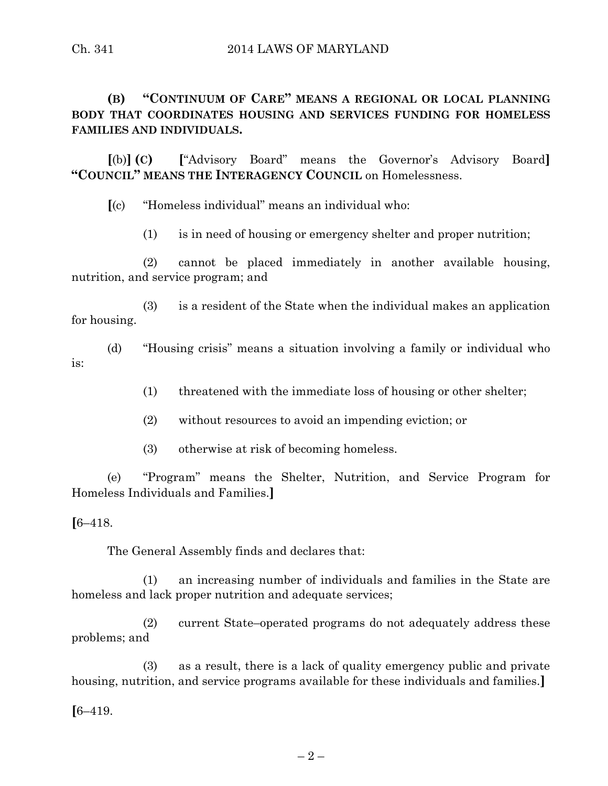# Ch. 341 2014 LAWS OF MARYLAND

# **(B) "CONTINUUM OF CARE" MEANS A REGIONAL OR LOCAL PLANNING BODY THAT COORDINATES HOUSING AND SERVICES FUNDING FOR HOMELESS FAMILIES AND INDIVIDUALS.**

**[**(b)**] (C) [**"Advisory Board" means the Governor's Advisory Board**] "COUNCIL" MEANS THE INTERAGENCY COUNCIL** on Homelessness.

**[**(c) "Homeless individual" means an individual who:

(1) is in need of housing or emergency shelter and proper nutrition;

(2) cannot be placed immediately in another available housing, nutrition, and service program; and

(3) is a resident of the State when the individual makes an application for housing.

(d) "Housing crisis" means a situation involving a family or individual who is:

(1) threatened with the immediate loss of housing or other shelter;

(2) without resources to avoid an impending eviction; or

(3) otherwise at risk of becoming homeless.

(e) "Program" means the Shelter, Nutrition, and Service Program for Homeless Individuals and Families.**]**

**[**6–418.

The General Assembly finds and declares that:

(1) an increasing number of individuals and families in the State are homeless and lack proper nutrition and adequate services;

(2) current State–operated programs do not adequately address these problems; and

(3) as a result, there is a lack of quality emergency public and private housing, nutrition, and service programs available for these individuals and families.**]**

**[**6–419.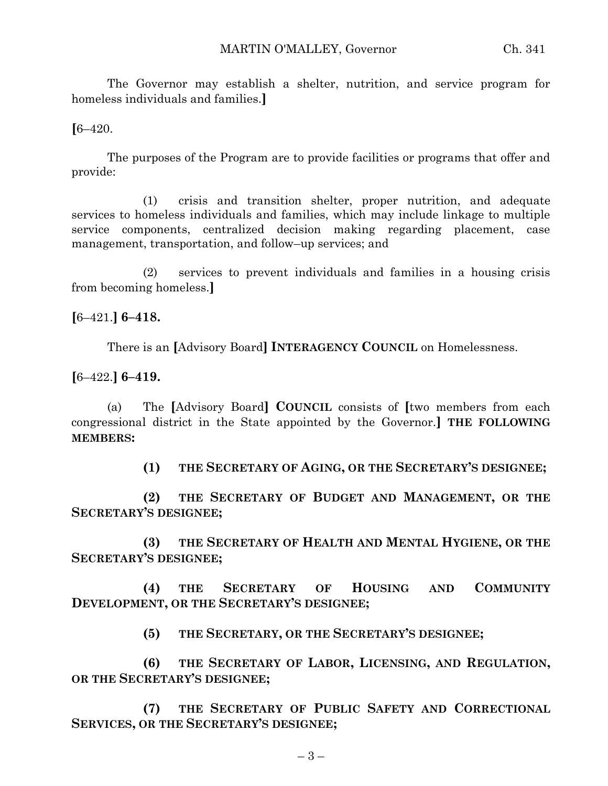The Governor may establish a shelter, nutrition, and service program for homeless individuals and families.**]**

**[**6–420.

The purposes of the Program are to provide facilities or programs that offer and provide:

(1) crisis and transition shelter, proper nutrition, and adequate services to homeless individuals and families, which may include linkage to multiple service components, centralized decision making regarding placement, case management, transportation, and follow–up services; and

(2) services to prevent individuals and families in a housing crisis from becoming homeless.**]**

**[**6–421.**] 6–418.**

There is an **[**Advisory Board**] INTERAGENCY COUNCIL** on Homelessness.

**[**6–422.**] 6–419.**

(a) The **[**Advisory Board**] COUNCIL** consists of **[**two members from each congressional district in the State appointed by the Governor.**] THE FOLLOWING MEMBERS:**

**(1) THE SECRETARY OF AGING, OR THE SECRETARY'S DESIGNEE;**

**(2) THE SECRETARY OF BUDGET AND MANAGEMENT, OR THE SECRETARY'S DESIGNEE;**

**(3) THE SECRETARY OF HEALTH AND MENTAL HYGIENE, OR THE SECRETARY'S DESIGNEE;**

**(4) THE SECRETARY OF HOUSING AND COMMUNITY DEVELOPMENT, OR THE SECRETARY'S DESIGNEE;**

**(5) THE SECRETARY, OR THE SECRETARY'S DESIGNEE;**

**(6) THE SECRETARY OF LABOR, LICENSING, AND REGULATION, OR THE SECRETARY'S DESIGNEE;**

**(7) THE SECRETARY OF PUBLIC SAFETY AND CORRECTIONAL SERVICES, OR THE SECRETARY'S DESIGNEE;**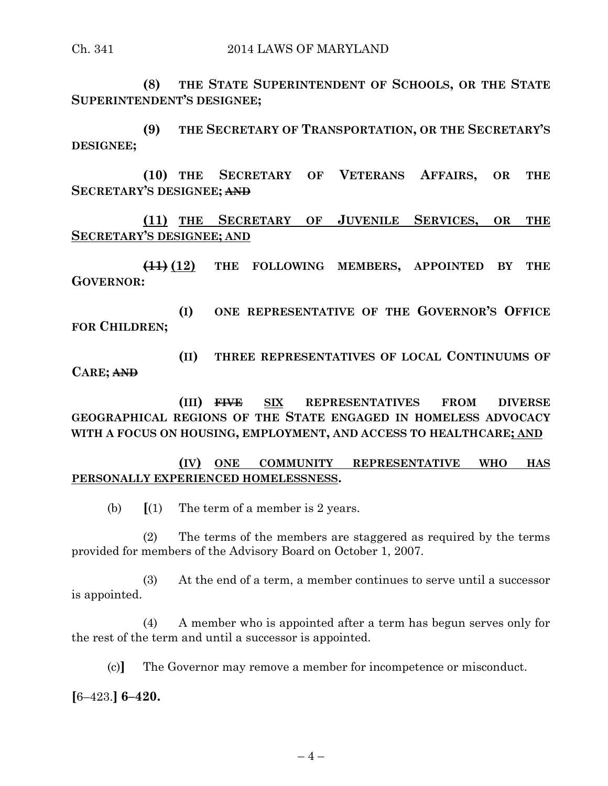**(8) THE STATE SUPERINTENDENT OF SCHOOLS, OR THE STATE SUPERINTENDENT'S DESIGNEE;**

**(9) THE SECRETARY OF TRANSPORTATION, OR THE SECRETARY'S DESIGNEE;**

**(10) THE SECRETARY OF VETERANS AFFAIRS, OR THE SECRETARY'S DESIGNEE; AND**

**(11) THE SECRETARY OF JUVENILE SERVICES, OR THE SECRETARY'S DESIGNEE; AND**

**(11) (12) THE FOLLOWING MEMBERS, APPOINTED BY THE GOVERNOR:**

**(I) ONE REPRESENTATIVE OF THE GOVERNOR'S OFFICE FOR CHILDREN;**

**(II) THREE REPRESENTATIVES OF LOCAL CONTINUUMS OF CARE; AND**

**(III) FIVE SIX REPRESENTATIVES FROM DIVERSE GEOGRAPHICAL REGIONS OF THE STATE ENGAGED IN HOMELESS ADVOCACY WITH A FOCUS ON HOUSING, EMPLOYMENT, AND ACCESS TO HEALTHCARE; AND**

### **(IV) ONE COMMUNITY REPRESENTATIVE WHO HAS PERSONALLY EXPERIENCED HOMELESSNESS.**

(b) **[**(1) The term of a member is 2 years.

(2) The terms of the members are staggered as required by the terms provided for members of the Advisory Board on October 1, 2007.

(3) At the end of a term, a member continues to serve until a successor is appointed.

(4) A member who is appointed after a term has begun serves only for the rest of the term and until a successor is appointed.

(c)**]** The Governor may remove a member for incompetence or misconduct.

**[**6–423.**] 6–420.**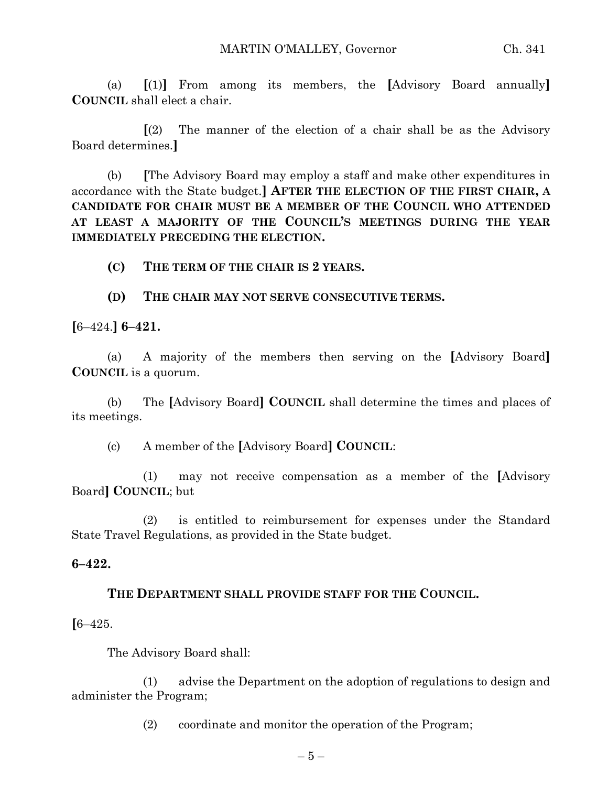(a) **[**(1)**]** From among its members, the **[**Advisory Board annually**] COUNCIL** shall elect a chair.

**[**(2) The manner of the election of a chair shall be as the Advisory Board determines.**]**

(b) **[**The Advisory Board may employ a staff and make other expenditures in accordance with the State budget.**] AFTER THE ELECTION OF THE FIRST CHAIR, A CANDIDATE FOR CHAIR MUST BE A MEMBER OF THE COUNCIL WHO ATTENDED AT LEAST A MAJORITY OF THE COUNCIL'S MEETINGS DURING THE YEAR IMMEDIATELY PRECEDING THE ELECTION.**

**(C) THE TERM OF THE CHAIR IS 2 YEARS.**

**(D) THE CHAIR MAY NOT SERVE CONSECUTIVE TERMS.**

**[**6–424.**] 6–421.**

(a) A majority of the members then serving on the **[**Advisory Board**] COUNCIL** is a quorum.

(b) The **[**Advisory Board**] COUNCIL** shall determine the times and places of its meetings.

(c) A member of the **[**Advisory Board**] COUNCIL**:

(1) may not receive compensation as a member of the **[**Advisory Board**] COUNCIL**; but

(2) is entitled to reimbursement for expenses under the Standard State Travel Regulations, as provided in the State budget.

#### **6–422.**

# **THE DEPARTMENT SHALL PROVIDE STAFF FOR THE COUNCIL.**

**[**6–425.

The Advisory Board shall:

(1) advise the Department on the adoption of regulations to design and administer the Program;

(2) coordinate and monitor the operation of the Program;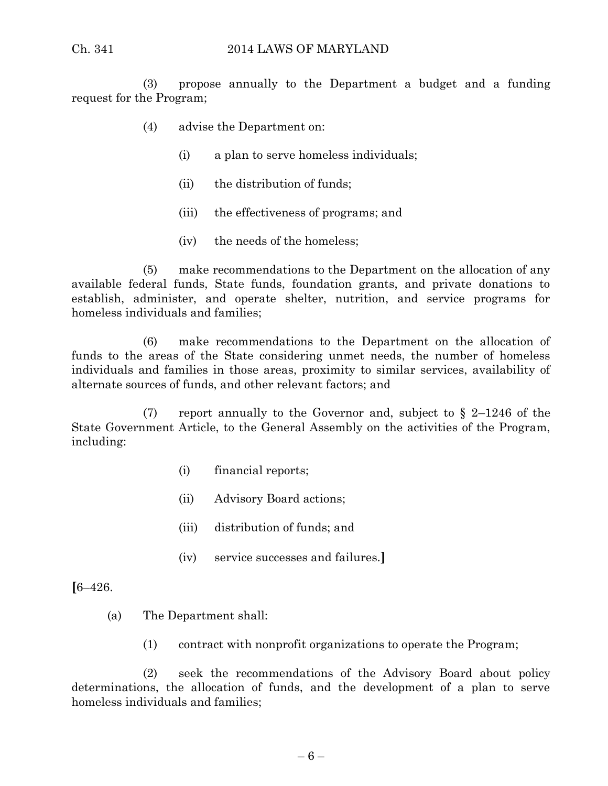(3) propose annually to the Department a budget and a funding request for the Program;

- (4) advise the Department on:
	- (i) a plan to serve homeless individuals;
	- (ii) the distribution of funds;
	- (iii) the effectiveness of programs; and
	- (iv) the needs of the homeless;

(5) make recommendations to the Department on the allocation of any available federal funds, State funds, foundation grants, and private donations to establish, administer, and operate shelter, nutrition, and service programs for homeless individuals and families;

(6) make recommendations to the Department on the allocation of funds to the areas of the State considering unmet needs, the number of homeless individuals and families in those areas, proximity to similar services, availability of alternate sources of funds, and other relevant factors; and

(7) report annually to the Governor and, subject to  $\S$  2–1246 of the State Government Article, to the General Assembly on the activities of the Program, including:

- (i) financial reports;
- (ii) Advisory Board actions;
- (iii) distribution of funds; and
- (iv) service successes and failures.**]**

**[**6–426.

- (a) The Department shall:
	- (1) contract with nonprofit organizations to operate the Program;

(2) seek the recommendations of the Advisory Board about policy determinations, the allocation of funds, and the development of a plan to serve homeless individuals and families;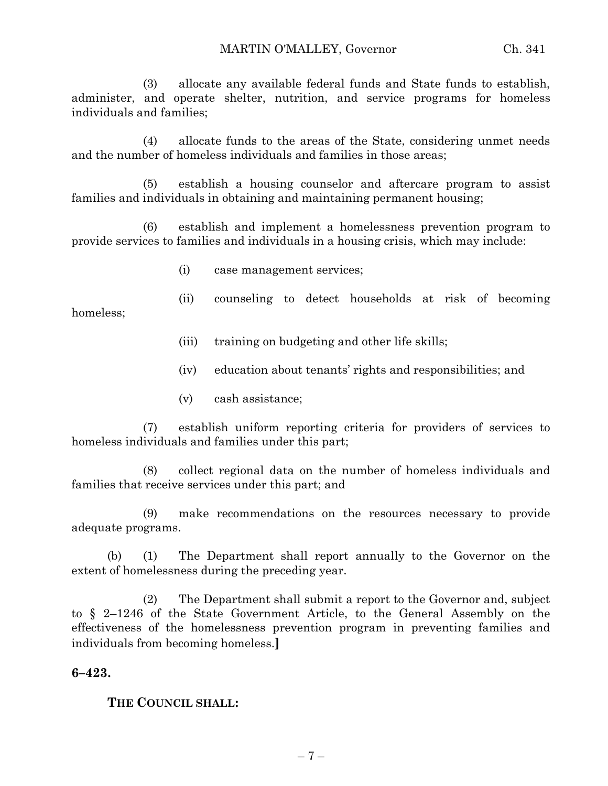(3) allocate any available federal funds and State funds to establish, administer, and operate shelter, nutrition, and service programs for homeless individuals and families;

(4) allocate funds to the areas of the State, considering unmet needs and the number of homeless individuals and families in those areas;

(5) establish a housing counselor and aftercare program to assist families and individuals in obtaining and maintaining permanent housing;

(6) establish and implement a homelessness prevention program to provide services to families and individuals in a housing crisis, which may include:

- (i) case management services;
- (ii) counseling to detect households at risk of becoming
	- (iii) training on budgeting and other life skills;
	- (iv) education about tenants' rights and responsibilities; and
	- (v) cash assistance;

(7) establish uniform reporting criteria for providers of services to homeless individuals and families under this part;

(8) collect regional data on the number of homeless individuals and families that receive services under this part; and

(9) make recommendations on the resources necessary to provide adequate programs.

(b) (1) The Department shall report annually to the Governor on the extent of homelessness during the preceding year.

(2) The Department shall submit a report to the Governor and, subject to § 2–1246 of the State Government Article, to the General Assembly on the effectiveness of the homelessness prevention program in preventing families and individuals from becoming homeless.**]**

#### **6–423.**

homeless;

**THE COUNCIL SHALL:**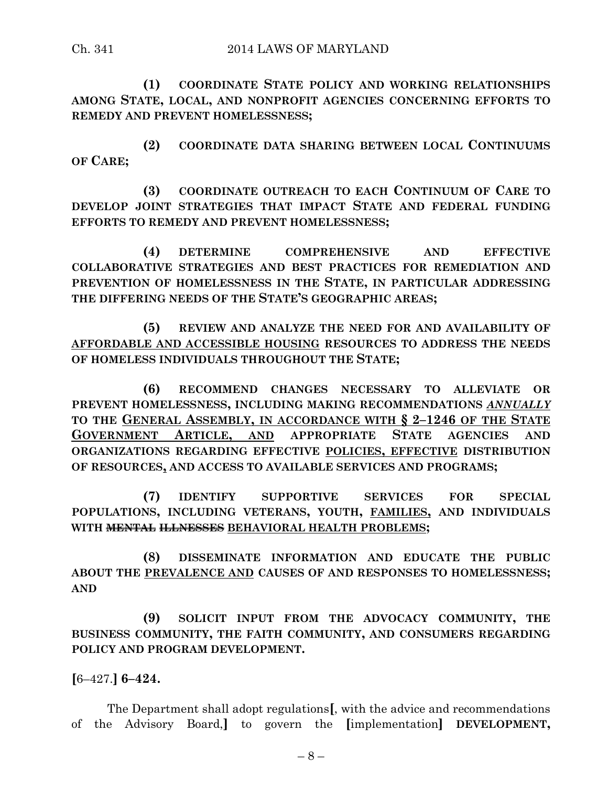**(1) COORDINATE STATE POLICY AND WORKING RELATIONSHIPS AMONG STATE, LOCAL, AND NONPROFIT AGENCIES CONCERNING EFFORTS TO REMEDY AND PREVENT HOMELESSNESS;**

**(2) COORDINATE DATA SHARING BETWEEN LOCAL CONTINUUMS OF CARE;**

**(3) COORDINATE OUTREACH TO EACH CONTINUUM OF CARE TO DEVELOP JOINT STRATEGIES THAT IMPACT STATE AND FEDERAL FUNDING EFFORTS TO REMEDY AND PREVENT HOMELESSNESS;**

**(4) DETERMINE COMPREHENSIVE AND EFFECTIVE COLLABORATIVE STRATEGIES AND BEST PRACTICES FOR REMEDIATION AND PREVENTION OF HOMELESSNESS IN THE STATE, IN PARTICULAR ADDRESSING THE DIFFERING NEEDS OF THE STATE'S GEOGRAPHIC AREAS;**

**(5) REVIEW AND ANALYZE THE NEED FOR AND AVAILABILITY OF AFFORDABLE AND ACCESSIBLE HOUSING RESOURCES TO ADDRESS THE NEEDS OF HOMELESS INDIVIDUALS THROUGHOUT THE STATE;**

**(6) RECOMMEND CHANGES NECESSARY TO ALLEVIATE OR PREVENT HOMELESSNESS, INCLUDING MAKING RECOMMENDATIONS** *ANNUALLY* **TO THE GENERAL ASSEMBLY, IN ACCORDANCE WITH § 2–1246 OF THE STATE GOVERNMENT ARTICLE, AND APPROPRIATE STATE AGENCIES AND ORGANIZATIONS REGARDING EFFECTIVE POLICIES, EFFECTIVE DISTRIBUTION OF RESOURCES, AND ACCESS TO AVAILABLE SERVICES AND PROGRAMS;**

**(7) IDENTIFY SUPPORTIVE SERVICES FOR SPECIAL POPULATIONS, INCLUDING VETERANS, YOUTH, FAMILIES, AND INDIVIDUALS WITH MENTAL ILLNESSES BEHAVIORAL HEALTH PROBLEMS;**

**(8) DISSEMINATE INFORMATION AND EDUCATE THE PUBLIC ABOUT THE PREVALENCE AND CAUSES OF AND RESPONSES TO HOMELESSNESS; AND**

**(9) SOLICIT INPUT FROM THE ADVOCACY COMMUNITY, THE BUSINESS COMMUNITY, THE FAITH COMMUNITY, AND CONSUMERS REGARDING POLICY AND PROGRAM DEVELOPMENT.**

**[**6–427.**] 6–424.**

The Department shall adopt regulations**[**, with the advice and recommendations of the Advisory Board,**]** to govern the **[**implementation**] DEVELOPMENT,**